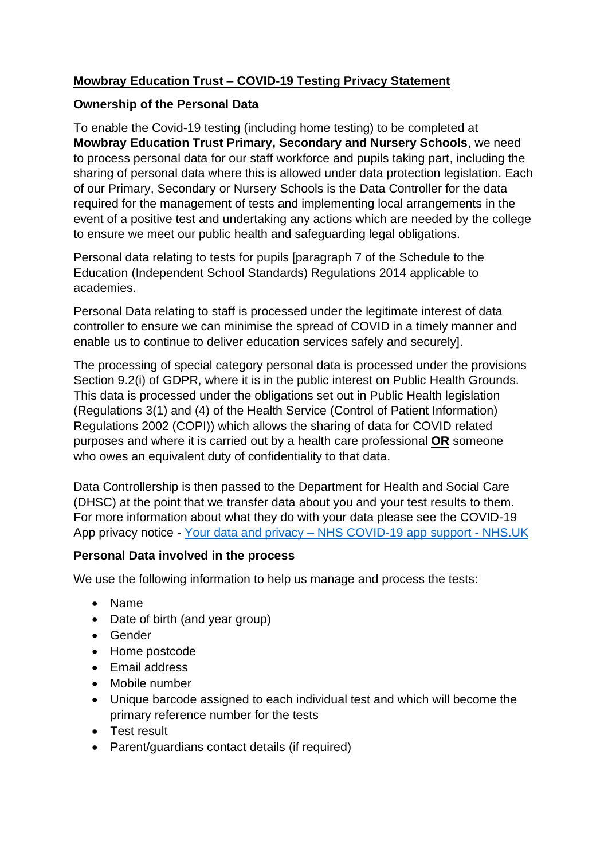# **Mowbray Education Trust – COVID-19 Testing Privacy Statement**

#### **Ownership of the Personal Data**

To enable the Covid-19 testing (including home testing) to be completed at **Mowbray Education Trust Primary, Secondary and Nursery Schools**, we need to process personal data for our staff workforce and pupils taking part, including the sharing of personal data where this is allowed under data protection legislation. Each of our Primary, Secondary or Nursery Schools is the Data Controller for the data required for the management of tests and implementing local arrangements in the event of a positive test and undertaking any actions which are needed by the college to ensure we meet our public health and safeguarding legal obligations.

Personal data relating to tests for pupils [paragraph 7 of the Schedule to the Education (Independent School Standards) Regulations 2014 applicable to academies.

Personal Data relating to staff is processed under the legitimate interest of data controller to ensure we can minimise the spread of COVID in a timely manner and enable us to continue to deliver education services safely and securely].

The processing of special category personal data is processed under the provisions Section 9.2(i) of GDPR, where it is in the public interest on Public Health Grounds. This data is processed under the obligations set out in Public Health legislation (Regulations 3(1) and (4) of the Health Service (Control of Patient Information) Regulations 2002 (COPI)) which allows the sharing of data for COVID related purposes and where it is carried out by a health care professional **OR** someone who owes an equivalent duty of confidentiality to that data.

Data Controllership is then passed to the Department for Health and Social Care (DHSC) at the point that we transfer data about you and your test results to them. For more information about what they do with your data please see the COVID-19 App privacy notice - Your data and privacy – [NHS COVID-19 app support -](https://www.covid19.nhs.uk/privacy-and-data.html) NHS.UK

## **Personal Data involved in the process**

We use the following information to help us manage and process the tests:

- Name
- Date of birth (and year group)
- Gender
- Home postcode
- Email address
- Mobile number
- Unique barcode assigned to each individual test and which will become the primary reference number for the tests
- Test result
- Parent/guardians contact details (if required)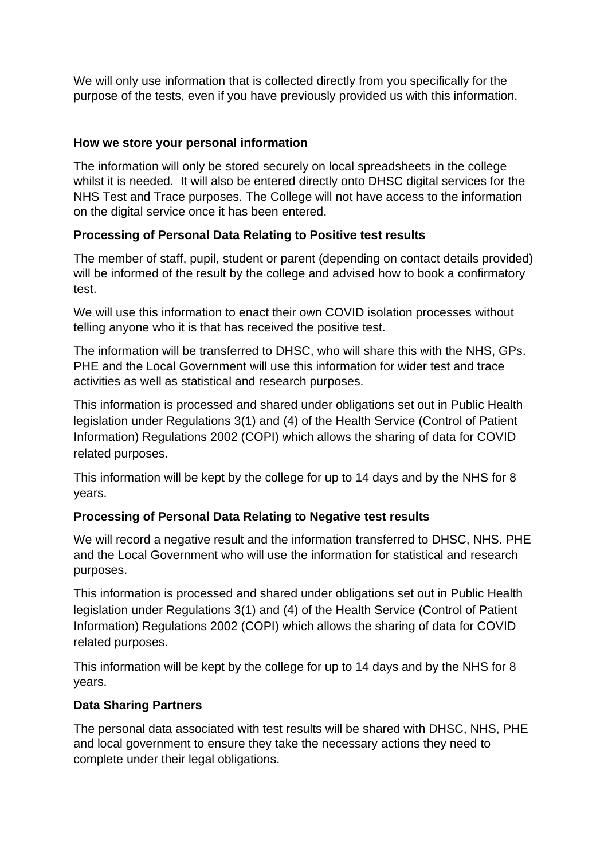We will only use information that is collected directly from you specifically for the purpose of the tests, even if you have previously provided us with this information.

## **How we store your personal information**

The information will only be stored securely on local spreadsheets in the college whilst it is needed. It will also be entered directly onto DHSC digital services for the NHS Test and Trace purposes. The College will not have access to the information on the digital service once it has been entered.

## **Processing of Personal Data Relating to Positive test results**

The member of staff, pupil, student or parent (depending on contact details provided) will be informed of the result by the college and advised how to book a confirmatory test.

We will use this information to enact their own COVID isolation processes without telling anyone who it is that has received the positive test.

The information will be transferred to DHSC, who will share this with the NHS, GPs. PHE and the Local Government will use this information for wider test and trace activities as well as statistical and research purposes.

This information is processed and shared under obligations set out in Public Health legislation under Regulations 3(1) and (4) of the Health Service (Control of Patient Information) Regulations 2002 (COPI) which allows the sharing of data for COVID related purposes.

This information will be kept by the college for up to 14 days and by the NHS for 8 years.

# **Processing of Personal Data Relating to Negative test results**

We will record a negative result and the information transferred to DHSC, NHS. PHE and the Local Government who will use the information for statistical and research purposes.

This information is processed and shared under obligations set out in Public Health legislation under Regulations 3(1) and (4) of the Health Service (Control of Patient Information) Regulations 2002 (COPI) which allows the sharing of data for COVID related purposes.

This information will be kept by the college for up to 14 days and by the NHS for 8 years.

## **Data Sharing Partners**

The personal data associated with test results will be shared with DHSC, NHS, PHE and local government to ensure they take the necessary actions they need to complete under their legal obligations.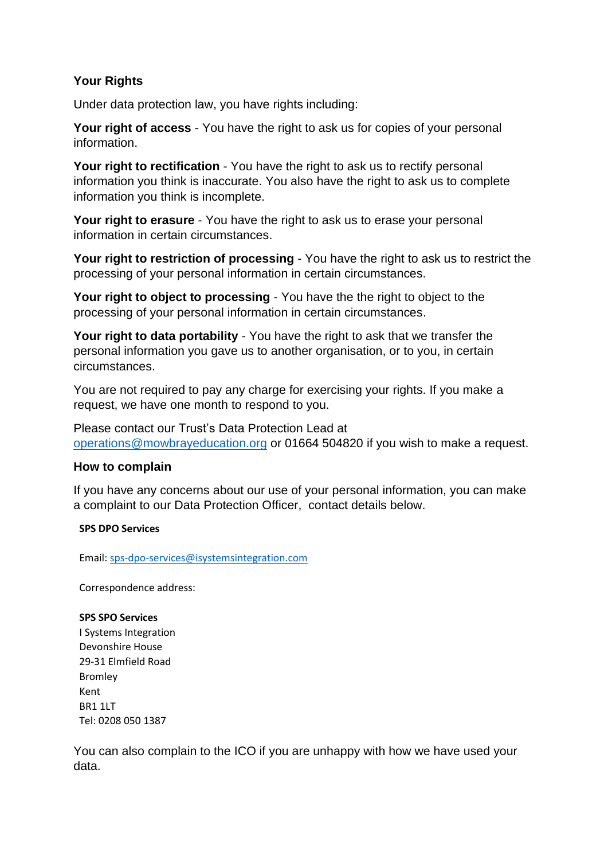## **Your Rights**

Under data protection law, you have rights including:

**Your right of access** - You have the right to ask us for copies of your personal information.

**Your right to rectification** - You have the right to ask us to rectify personal information you think is inaccurate. You also have the right to ask us to complete information you think is incomplete.

**Your right to erasure** - You have the right to ask us to erase your personal information in certain circumstances.

**Your right to restriction of processing** - You have the right to ask us to restrict the processing of your personal information in certain circumstances.

**Your right to object to processing** - You have the the right to object to the processing of your personal information in certain circumstances.

**Your right to data portability** - You have the right to ask that we transfer the personal information you gave us to another organisation, or to you, in certain circumstances.

You are not required to pay any charge for exercising your rights. If you make a request, we have one month to respond to you.

Please contact our Trust's Data Protection Lead at [operations@mowbrayeducation.org](mailto:operations@mowbrayeducation.org) or 01664 504820 if you wish to make a request.

#### **How to complain**

If you have any concerns about our use of your personal information, you can make a complaint to our Data Protection Officer, contact details below.

#### **SPS DPO Services**

Email[: sps-dpo-services@isystemsintegration.com](mailto:sps-dpo-services@isystemsintegration.com)

Correspondence address:

#### **SPS SPO Services**

I Systems Integration Devonshire House 29-31 Elmfield Road Bromley Kent BR1 1LT Tel: 0208 050 1387

You can also complain to the ICO if you are unhappy with how we have used your data.